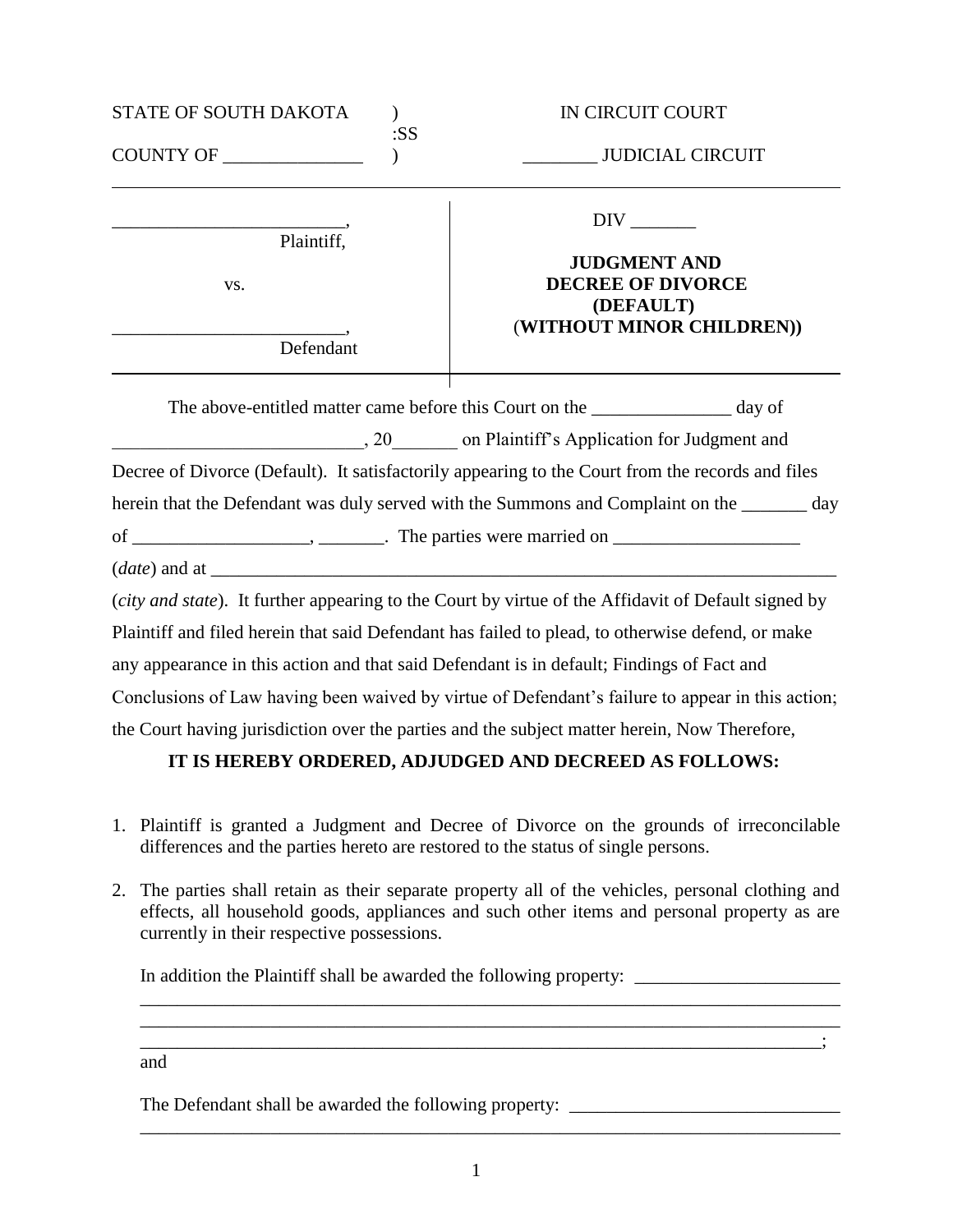| STATE OF SOUTH DAKOTA     |     | IN CIRCUIT COURT                                                                                                                                                                                |
|---------------------------|-----|-------------------------------------------------------------------------------------------------------------------------------------------------------------------------------------------------|
| COUNTY OF _______________ | :SS | <b>JUDICIAL CIRCUIT</b>                                                                                                                                                                         |
| Plaintiff,<br>VS.         |     | $DIV$ <sub>________</sub><br><b>JUDGMENT AND</b><br><b>DECREE OF DIVORCE</b><br>(DEFAULT)                                                                                                       |
| Defendant                 |     | (WITHOUT MINOR CHILDREN))                                                                                                                                                                       |
|                           |     | The above-entitled matter came before this Court on the __________________ day of                                                                                                               |
|                           |     | , 20. On Plaintiff's Application for Judgment and                                                                                                                                               |
|                           |     | Decree of Divorce (Default). It satisfactorily appearing to the Court from the records and files<br>herein that the Defendant was duly served with the Summons and Complaint on the _______ day |
|                           |     |                                                                                                                                                                                                 |
|                           |     | (city and state). It further appearing to the Court by virtue of the Affidavit of Default signed by                                                                                             |
|                           |     | Plaintiff and filed herein that said Defendant has failed to plead, to otherwise defend, or make                                                                                                |
|                           |     | any appearance in this action and that said Defendant is in default; Findings of Fact and                                                                                                       |
|                           |     | Conclusions of Law having been waived by virtue of Defendant's failure to appear in this action;                                                                                                |
|                           |     | the Court having jurisdiction over the parties and the subject matter herein, Now Therefore,                                                                                                    |

## **IT IS HEREBY ORDERED, ADJUDGED AND DECREED AS FOLLOWS:**

- 1. Plaintiff is granted a Judgment and Decree of Divorce on the grounds of irreconcilable differences and the parties hereto are restored to the status of single persons.
- 2. The parties shall retain as their separate property all of the vehicles, personal clothing and effects, all household goods, appliances and such other items and personal property as are currently in their respective possessions.

 $\overline{\phantom{a}}$  ,  $\overline{\phantom{a}}$  ,  $\overline{\phantom{a}}$  ,  $\overline{\phantom{a}}$  ,  $\overline{\phantom{a}}$  ,  $\overline{\phantom{a}}$  ,  $\overline{\phantom{a}}$  ,  $\overline{\phantom{a}}$  ,  $\overline{\phantom{a}}$  ,  $\overline{\phantom{a}}$  ,  $\overline{\phantom{a}}$  ,  $\overline{\phantom{a}}$  ,  $\overline{\phantom{a}}$  ,  $\overline{\phantom{a}}$  ,  $\overline{\phantom{a}}$  ,  $\overline{\phantom{a}}$ 

 $\mathcal{L}_\mathcal{L} = \{ \mathcal{L}_\mathcal{L} = \{ \mathcal{L}_\mathcal{L} = \{ \mathcal{L}_\mathcal{L} = \{ \mathcal{L}_\mathcal{L} = \{ \mathcal{L}_\mathcal{L} = \{ \mathcal{L}_\mathcal{L} = \{ \mathcal{L}_\mathcal{L} = \{ \mathcal{L}_\mathcal{L} = \{ \mathcal{L}_\mathcal{L} = \{ \mathcal{L}_\mathcal{L} = \{ \mathcal{L}_\mathcal{L} = \{ \mathcal{L}_\mathcal{L} = \{ \mathcal{L}_\mathcal{L} = \{ \mathcal{L}_\mathcal{$ 

In addition the Plaintiff shall be awarded the following property:

and

The Defendant shall be awarded the following property: \_\_\_\_\_\_\_\_\_\_\_\_\_\_\_\_\_\_\_\_\_\_\_\_\_

\_\_\_\_\_\_\_\_\_\_\_\_\_\_\_\_\_\_\_\_\_\_\_\_\_\_\_\_\_\_\_\_\_\_\_\_\_\_\_\_\_\_\_\_\_\_\_\_\_\_\_\_\_\_\_\_\_\_\_\_\_\_\_\_\_\_\_\_\_\_\_\_\_\_\_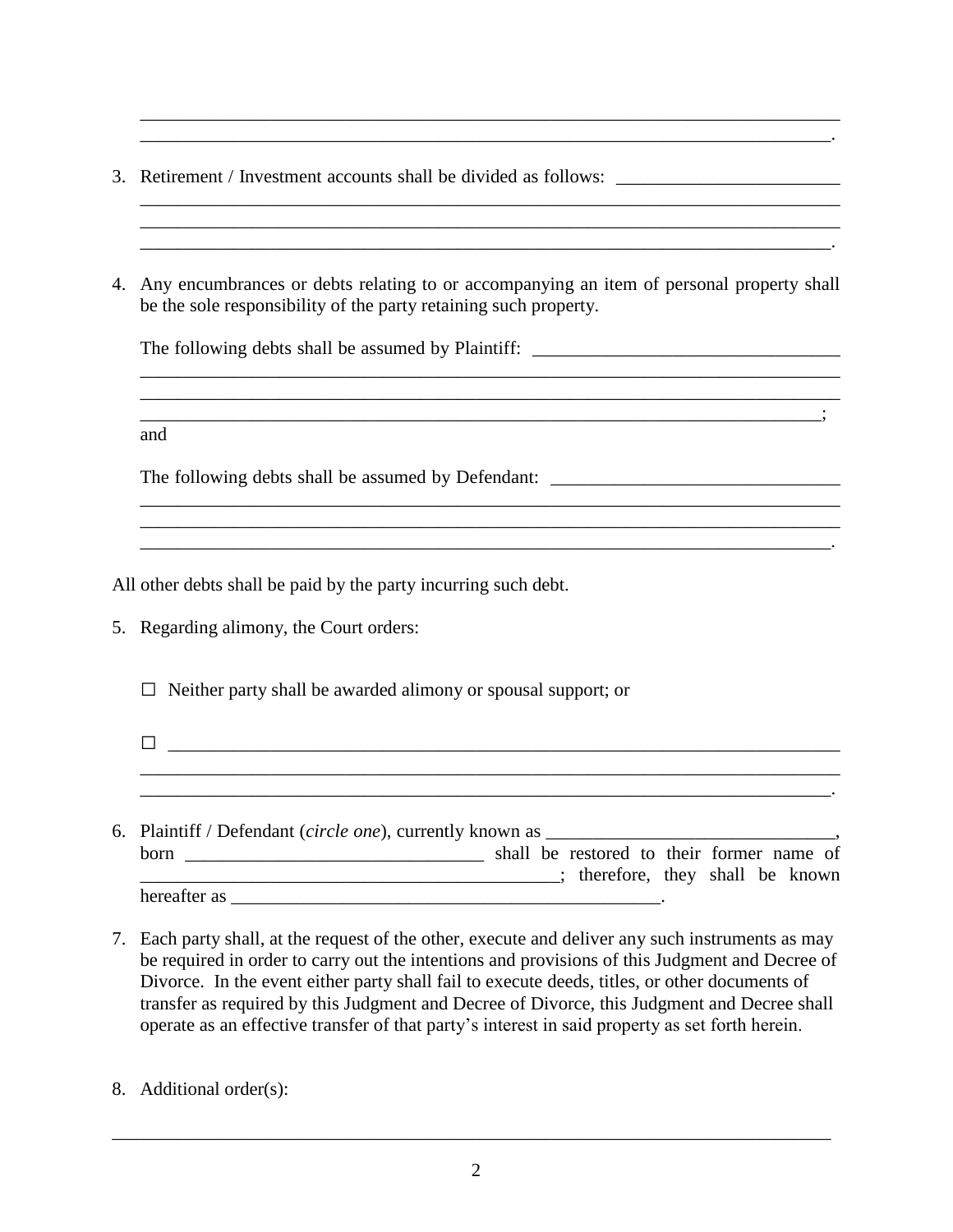- 3. Retirement / Investment accounts shall be divided as follows: \_\_\_\_\_\_\_\_\_\_\_\_\_\_\_
- 4. Any encumbrances or debts relating to or accompanying an item of personal property shall be the sole responsibility of the party retaining such property.

\_\_\_\_\_\_\_\_\_\_\_\_\_\_\_\_\_\_\_\_\_\_\_\_\_\_\_\_\_\_\_\_\_\_\_\_\_\_\_\_\_\_\_\_\_\_\_\_\_\_\_\_\_\_\_\_\_\_\_\_\_\_\_\_\_\_\_\_\_\_\_\_\_\_\_ \_\_\_\_\_\_\_\_\_\_\_\_\_\_\_\_\_\_\_\_\_\_\_\_\_\_\_\_\_\_\_\_\_\_\_\_\_\_\_\_\_\_\_\_\_\_\_\_\_\_\_\_\_\_\_\_\_\_\_\_\_\_\_\_\_\_\_\_\_\_\_\_\_;

\_\_\_\_\_\_\_\_\_\_\_\_\_\_\_\_\_\_\_\_\_\_\_\_\_\_\_\_\_\_\_\_\_\_\_\_\_\_\_\_\_\_\_\_\_\_\_\_\_\_\_\_\_\_\_\_\_\_\_\_\_\_\_\_\_\_\_\_\_\_\_\_\_\_\_ \_\_\_\_\_\_\_\_\_\_\_\_\_\_\_\_\_\_\_\_\_\_\_\_\_\_\_\_\_\_\_\_\_\_\_\_\_\_\_\_\_\_\_\_\_\_\_\_\_\_\_\_\_\_\_\_\_\_\_\_\_\_\_\_\_\_\_\_\_\_\_\_\_\_\_ \_\_\_\_\_\_\_\_\_\_\_\_\_\_\_\_\_\_\_\_\_\_\_\_\_\_\_\_\_\_\_\_\_\_\_\_\_\_\_\_\_\_\_\_\_\_\_\_\_\_\_\_\_\_\_\_\_\_\_\_\_\_\_\_\_\_\_\_\_\_\_\_\_\_.

\_\_\_\_\_\_\_\_\_\_\_\_\_\_\_\_\_\_\_\_\_\_\_\_\_\_\_\_\_\_\_\_\_\_\_\_\_\_\_\_\_\_\_\_\_\_\_\_\_\_\_\_\_\_\_\_\_\_\_\_\_\_\_\_\_\_\_\_\_\_\_\_\_\_\_ \_\_\_\_\_\_\_\_\_\_\_\_\_\_\_\_\_\_\_\_\_\_\_\_\_\_\_\_\_\_\_\_\_\_\_\_\_\_\_\_\_\_\_\_\_\_\_\_\_\_\_\_\_\_\_\_\_\_\_\_\_\_\_\_\_\_\_\_\_\_\_\_\_\_.

\_\_\_\_\_\_\_\_\_\_\_\_\_\_\_\_\_\_\_\_\_\_\_\_\_\_\_\_\_\_\_\_\_\_\_\_\_\_\_\_\_\_\_\_\_\_\_\_\_\_\_\_\_\_\_\_\_\_\_\_\_\_\_\_\_\_\_\_\_\_\_\_\_\_\_

\_\_\_\_\_\_\_\_\_\_\_\_\_\_\_\_\_\_\_\_\_\_\_\_\_\_\_\_\_\_\_\_\_\_\_\_\_\_\_\_\_\_\_\_\_\_\_\_\_\_\_\_\_\_\_\_\_\_\_\_\_\_\_\_\_\_\_\_\_\_\_\_\_\_.

The following debts shall be assumed by Plaintiff: \_\_\_\_\_\_\_\_\_\_\_\_\_\_\_\_\_\_\_\_\_\_\_\_\_\_\_\_\_

and

The following debts shall be assumed by Defendant:

All other debts shall be paid by the party incurring such debt.

5. Regarding alimony, the Court orders:

 $\Box$  Neither party shall be awarded alimony or spousal support; or

- □ \_\_\_\_\_\_\_\_\_\_\_\_\_\_\_\_\_\_\_\_\_\_\_\_\_\_\_\_\_\_\_\_\_\_\_\_\_\_\_\_\_\_\_\_\_\_\_\_\_\_\_\_\_\_\_\_\_\_\_\_\_\_\_\_\_\_\_\_\_\_\_\_ \_\_\_\_\_\_\_\_\_\_\_\_\_\_\_\_\_\_\_\_\_\_\_\_\_\_\_\_\_\_\_\_\_\_\_\_\_\_\_\_\_\_\_\_\_\_\_\_\_\_\_\_\_\_\_\_\_\_\_\_\_\_\_\_\_\_\_\_\_\_\_\_\_\_.
- 6. Plaintiff / Defendant *(circle one)*, currently known as born \_\_\_\_\_\_\_\_\_\_\_\_\_\_\_\_\_\_\_\_\_\_\_\_\_\_\_\_\_\_\_\_ shall be restored to their former name of \_\_\_\_\_\_\_\_\_\_\_\_\_\_\_\_\_\_\_\_\_\_\_\_\_\_\_\_\_\_\_\_\_\_\_\_\_\_\_\_\_\_\_\_\_; therefore, they shall be known hereafter as  $\blacksquare$
- 7. Each party shall, at the request of the other, execute and deliver any such instruments as may be required in order to carry out the intentions and provisions of this Judgment and Decree of Divorce. In the event either party shall fail to execute deeds, titles, or other documents of transfer as required by this Judgment and Decree of Divorce, this Judgment and Decree shall operate as an effective transfer of that party's interest in said property as set forth herein.
- 8. Additional order(s):

\_\_\_\_\_\_\_\_\_\_\_\_\_\_\_\_\_\_\_\_\_\_\_\_\_\_\_\_\_\_\_\_\_\_\_\_\_\_\_\_\_\_\_\_\_\_\_\_\_\_\_\_\_\_\_\_\_\_\_\_\_\_\_\_\_\_\_\_\_\_\_\_\_\_\_\_\_